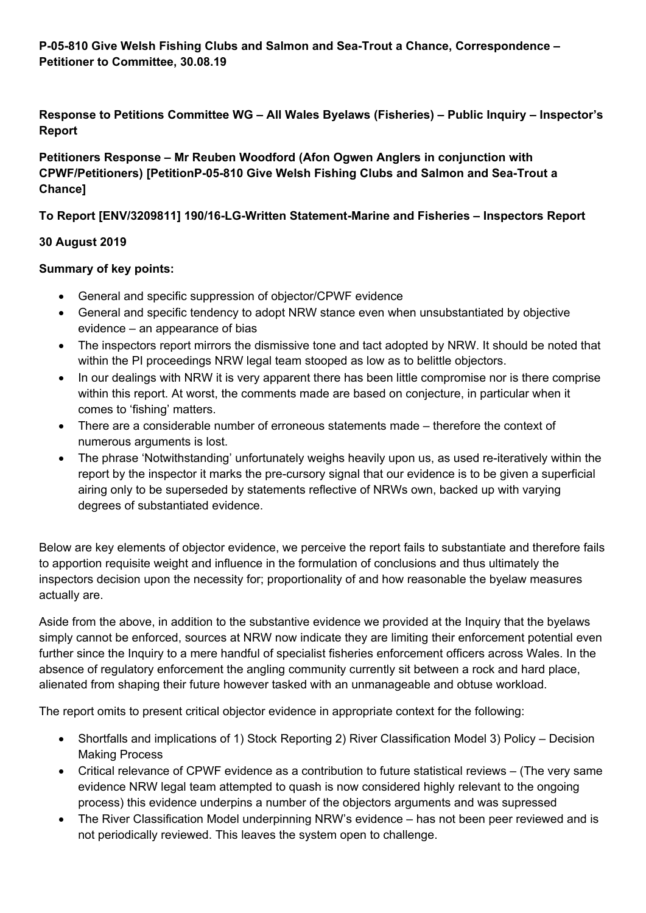**P-05-810 Give Welsh Fishing Clubs and Salmon and Sea-Trout a Chance, Correspondence – Petitioner to Committee, 30.08.19**

**Response to Petitions Committee WG – All Wales Byelaws (Fisheries) – Public Inquiry – Inspector's Report**

**Petitioners Response – Mr Reuben Woodford (Afon Ogwen Anglers in conjunction with CPWF/Petitioners) [PetitionP-05-810 Give Welsh Fishing Clubs and Salmon and Sea-Trout a Chance]**

### **To Report [ENV/3209811] 190/16-LG-Written Statement-Marine and Fisheries – Inspectors Report**

#### **30 August 2019**

### **Summary of key points:**

- General and specific suppression of objector/CPWF evidence
- General and specific tendency to adopt NRW stance even when unsubstantiated by objective evidence – an appearance of bias
- The inspectors report mirrors the dismissive tone and tact adopted by NRW. It should be noted that within the PI proceedings NRW legal team stooped as low as to belittle objectors.
- In our dealings with NRW it is very apparent there has been little compromise nor is there comprise within this report. At worst, the comments made are based on conjecture, in particular when it comes to 'fishing' matters.
- There are a considerable number of erroneous statements made therefore the context of numerous arguments is lost.
- The phrase 'Notwithstanding' unfortunately weighs heavily upon us, as used re-iteratively within the report by the inspector it marks the pre-cursory signal that our evidence is to be given a superficial airing only to be superseded by statements reflective of NRWs own, backed up with varying degrees of substantiated evidence.

Below are key elements of objector evidence, we perceive the report fails to substantiate and therefore fails to apportion requisite weight and influence in the formulation of conclusions and thus ultimately the inspectors decision upon the necessity for; proportionality of and how reasonable the byelaw measures actually are.

Aside from the above, in addition to the substantive evidence we provided at the Inquiry that the byelaws simply cannot be enforced, sources at NRW now indicate they are limiting their enforcement potential even further since the Inquiry to a mere handful of specialist fisheries enforcement officers across Wales. In the absence of regulatory enforcement the angling community currently sit between a rock and hard place, alienated from shaping their future however tasked with an unmanageable and obtuse workload.

The report omits to present critical objector evidence in appropriate context for the following:

- Shortfalls and implications of 1) Stock Reporting 2) River Classification Model 3) Policy Decision Making Process
- Critical relevance of CPWF evidence as a contribution to future statistical reviews (The very same evidence NRW legal team attempted to quash is now considered highly relevant to the ongoing process) this evidence underpins a number of the objectors arguments and was supressed
- The River Classification Model underpinning NRW's evidence has not been peer reviewed and is not periodically reviewed. This leaves the system open to challenge.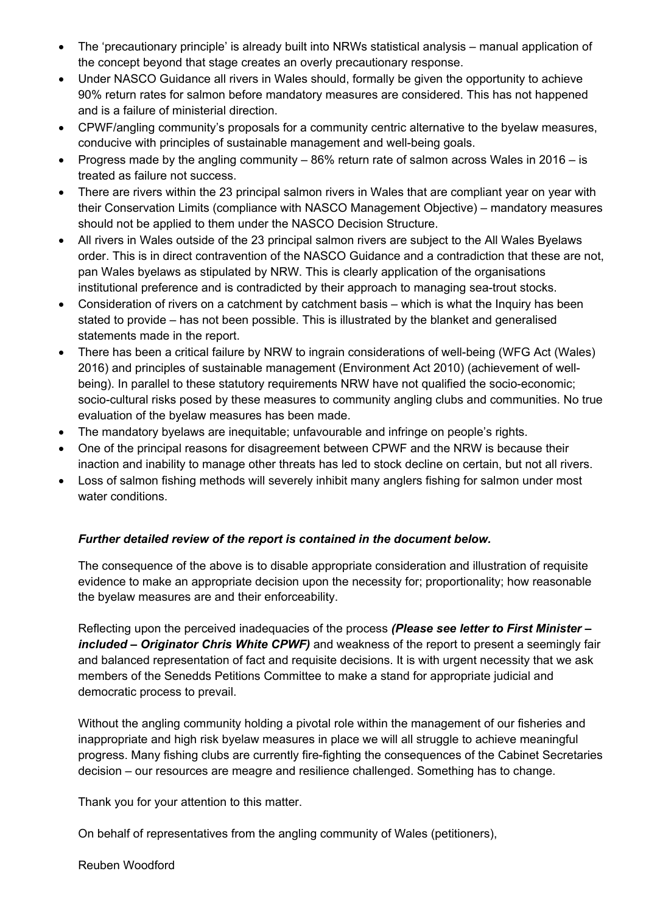- The 'precautionary principle' is already built into NRWs statistical analysis manual application of the concept beyond that stage creates an overly precautionary response.
- Under NASCO Guidance all rivers in Wales should, formally be given the opportunity to achieve 90% return rates for salmon before mandatory measures are considered. This has not happened and is a failure of ministerial direction.
- CPWF/angling community's proposals for a community centric alternative to the byelaw measures, conducive with principles of sustainable management and well-being goals.
- Progress made by the angling community 86% return rate of salmon across Wales in 2016 is treated as failure not success.
- There are rivers within the 23 principal salmon rivers in Wales that are compliant year on year with their Conservation Limits (compliance with NASCO Management Objective) – mandatory measures should not be applied to them under the NASCO Decision Structure.
- All rivers in Wales outside of the 23 principal salmon rivers are subject to the All Wales Byelaws order. This is in direct contravention of the NASCO Guidance and a contradiction that these are not, pan Wales byelaws as stipulated by NRW. This is clearly application of the organisations institutional preference and is contradicted by their approach to managing sea-trout stocks.
- Consideration of rivers on a catchment by catchment basis which is what the Inquiry has been stated to provide – has not been possible. This is illustrated by the blanket and generalised statements made in the report.
- There has been a critical failure by NRW to ingrain considerations of well-being (WFG Act (Wales) 2016) and principles of sustainable management (Environment Act 2010) (achievement of wellbeing). In parallel to these statutory requirements NRW have not qualified the socio-economic; socio-cultural risks posed by these measures to community angling clubs and communities. No true evaluation of the byelaw measures has been made.
- The mandatory byelaws are inequitable; unfavourable and infringe on people's rights.
- One of the principal reasons for disagreement between CPWF and the NRW is because their inaction and inability to manage other threats has led to stock decline on certain, but not all rivers.
- Loss of salmon fishing methods will severely inhibit many anglers fishing for salmon under most water conditions.

### *Further detailed review of the report is contained in the document below.*

The consequence of the above is to disable appropriate consideration and illustration of requisite evidence to make an appropriate decision upon the necessity for; proportionality; how reasonable the byelaw measures are and their enforceability.

Reflecting upon the perceived inadequacies of the process *(Please see letter to First Minister – included – Originator Chris White CPWF)* and weakness of the report to present a seemingly fair and balanced representation of fact and requisite decisions. It is with urgent necessity that we ask members of the Senedds Petitions Committee to make a stand for appropriate judicial and democratic process to prevail.

Without the angling community holding a pivotal role within the management of our fisheries and inappropriate and high risk byelaw measures in place we will all struggle to achieve meaningful progress. Many fishing clubs are currently fire-fighting the consequences of the Cabinet Secretaries decision – our resources are meagre and resilience challenged. Something has to change.

Thank you for your attention to this matter.

On behalf of representatives from the angling community of Wales (petitioners),

Reuben Woodford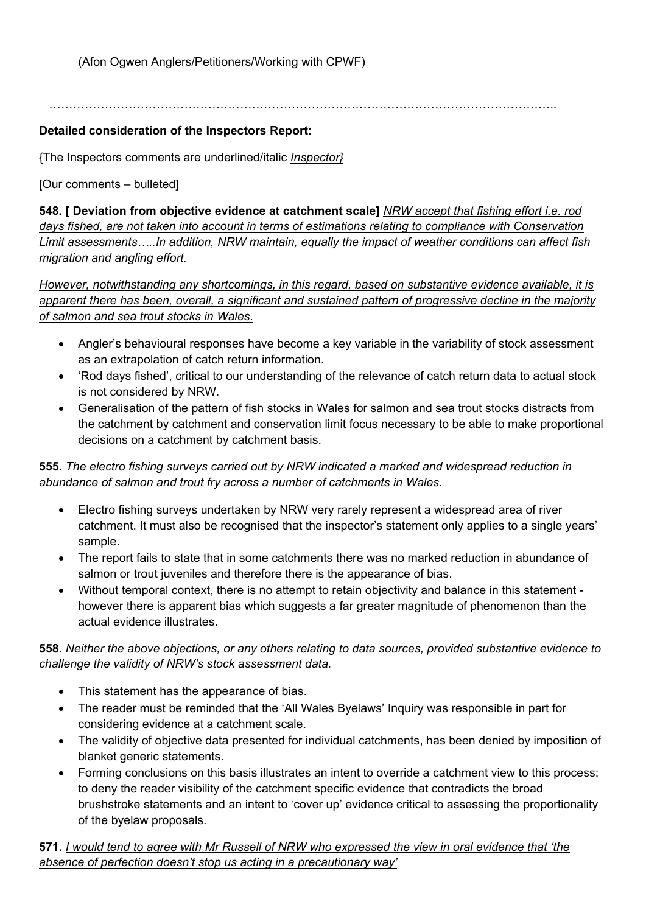(Afon Ogwen Anglers/Petitioners/Working with CPWF)

………………………………………………………………………………………………………………..

### **Detailed consideration of the Inspectors Report:**

{The Inspectors comments are underlined/italic *Inspector}*

[Our comments – bulleted]

**548***.* **[ Deviation from objective evidence at catchment scale]** *NRW accept that fishing effort i.e. rod days fished, are not taken into account in terms of estimations relating to compliance with Conservation Limit assessments…..In addition, NRW maintain, equally the impact of weather conditions can affect fish migration and angling effort.*

*However, notwithstanding any shortcomings, in this regard, based on substantive evidence available, it is apparent there has been, overall, a significant and sustained pattern of progressive decline in the majority of salmon and sea trout stocks in Wales.*

- Angler's behavioural responses have become a key variable in the variability of stock assessment as an extrapolation of catch return information.
- 'Rod days fished', critical to our understanding of the relevance of catch return data to actual stock is not considered by NRW.
- Generalisation of the pattern of fish stocks in Wales for salmon and sea trout stocks distracts from the catchment by catchment and conservation limit focus necessary to be able to make proportional decisions on a catchment by catchment basis.

### **555.** *The electro fishing surveys carried out by NRW indicated a marked and widespread reduction in abundance of salmon and trout fry across a number of catchments in Wales.*

- Electro fishing surveys undertaken by NRW very rarely represent a widespread area of river catchment. It must also be recognised that the inspector's statement only applies to a single years' sample.
- The report fails to state that in some catchments there was no marked reduction in abundance of salmon or trout juveniles and therefore there is the appearance of bias.
- Without temporal context, there is no attempt to retain objectivity and balance in this statement however there is apparent bias which suggests a far greater magnitude of phenomenon than the actual evidence illustrates.

**558.** *Neither the above objections, or any others relating to data sources, provided substantive evidence to challenge the validity of NRW's stock assessment data.*

- This statement has the appearance of bias.
- The reader must be reminded that the 'All Wales Byelaws' Inquiry was responsible in part for considering evidence at a catchment scale.
- The validity of objective data presented for individual catchments, has been denied by imposition of blanket generic statements.
- Forming conclusions on this basis illustrates an intent to override a catchment view to this process; to deny the reader visibility of the catchment specific evidence that contradicts the broad brushstroke statements and an intent to 'cover up' evidence critical to assessing the proportionality of the byelaw proposals.

571. I would tend to agree with Mr Russell of NRW who expressed the view in oral evidence that 'the *absence of perfection doesn't stop us acting in a precautionary way'*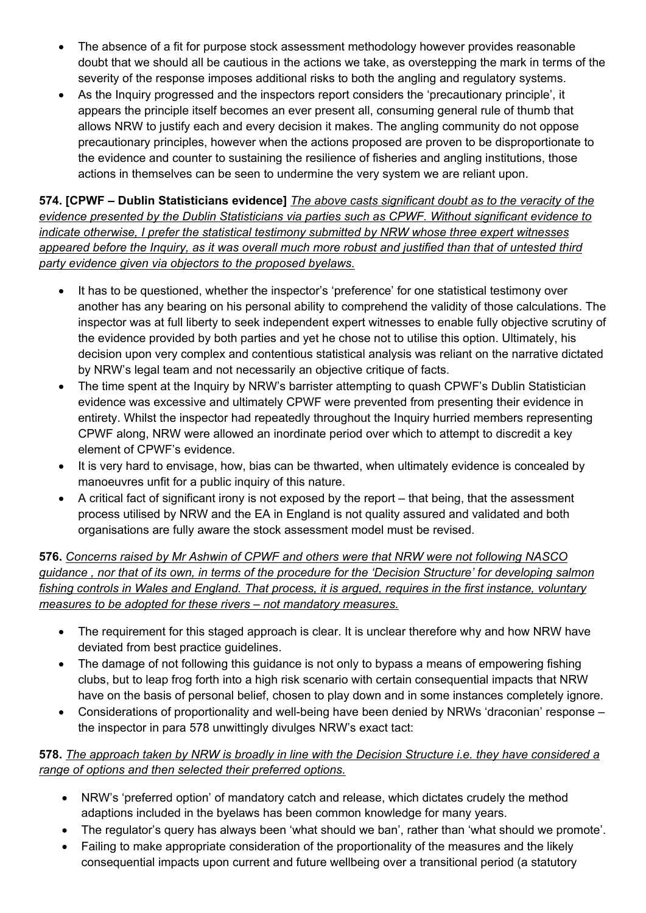- The absence of a fit for purpose stock assessment methodology however provides reasonable doubt that we should all be cautious in the actions we take, as overstepping the mark in terms of the severity of the response imposes additional risks to both the angling and regulatory systems.
- As the Inquiry progressed and the inspectors report considers the 'precautionary principle', it appears the principle itself becomes an ever present all, consuming general rule of thumb that allows NRW to justify each and every decision it makes. The angling community do not oppose precautionary principles, however when the actions proposed are proven to be disproportionate to the evidence and counter to sustaining the resilience of fisheries and angling institutions, those actions in themselves can be seen to undermine the very system we are reliant upon.

**574. [CPWF – Dublin Statisticians evidence]** *The above casts significant doubt as to the veracity of the evidence presented by the Dublin Statisticians via parties such as CPWF. Without significant evidence to indicate otherwise, I prefer the statistical testimony submitted by NRW whose three expert witnesses* appeared before the Inquiry, as it was overall much more robust and justified than that of untested third *party evidence given via objectors to the proposed byelaws.*

- It has to be questioned, whether the inspector's 'preference' for one statistical testimony over another has any bearing on his personal ability to comprehend the validity of those calculations. The inspector was at full liberty to seek independent expert witnesses to enable fully objective scrutiny of the evidence provided by both parties and yet he chose not to utilise this option. Ultimately, his decision upon very complex and contentious statistical analysis was reliant on the narrative dictated by NRW's legal team and not necessarily an objective critique of facts.
- The time spent at the Inquiry by NRW's barrister attempting to quash CPWF's Dublin Statistician evidence was excessive and ultimately CPWF were prevented from presenting their evidence in entirety. Whilst the inspector had repeatedly throughout the Inquiry hurried members representing CPWF along, NRW were allowed an inordinate period over which to attempt to discredit a key element of CPWF's evidence.
- It is very hard to envisage, how, bias can be thwarted, when ultimately evidence is concealed by manoeuvres unfit for a public inquiry of this nature.
- A critical fact of significant irony is not exposed by the report that being, that the assessment process utilised by NRW and the EA in England is not quality assured and validated and both organisations are fully aware the stock assessment model must be revised.

**576.** *Concerns raised by Mr Ashwin of CPWF and others were that NRW were not following NASCO* guidance, nor that of its own, in terms of the procedure for the 'Decision Structure' for developing salmon fishing controls in Wales and England. That process, it is argued, requires in the first instance, voluntary *measures to be adopted for these rivers – not mandatory measures.*

- The requirement for this staged approach is clear. It is unclear therefore why and how NRW have deviated from best practice guidelines.
- The damage of not following this guidance is not only to bypass a means of empowering fishing clubs, but to leap frog forth into a high risk scenario with certain consequential impacts that NRW have on the basis of personal belief, chosen to play down and in some instances completely ignore.
- Considerations of proportionality and well-being have been denied by NRWs 'draconian' response the inspector in para 578 unwittingly divulges NRW's exact tact:

### 578. The approach taken by NRW is broadly in line with the Decision Structure i.e. they have considered a *range of options and then selected their preferred options.*

- NRW's 'preferred option' of mandatory catch and release, which dictates crudely the method adaptions included in the byelaws has been common knowledge for many years.
- The regulator's query has always been 'what should we ban', rather than 'what should we promote'.
- Failing to make appropriate consideration of the proportionality of the measures and the likely consequential impacts upon current and future wellbeing over a transitional period (a statutory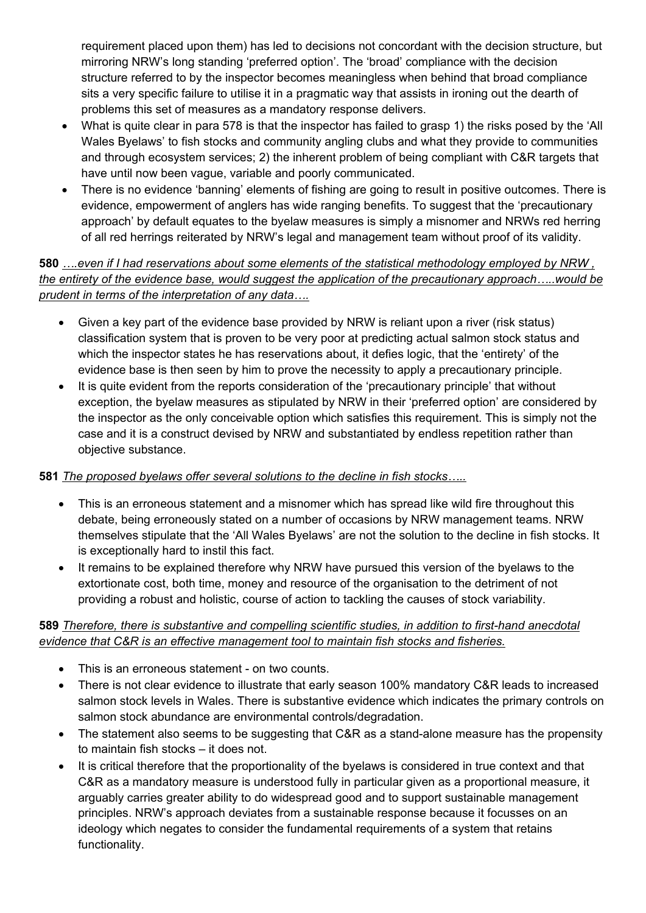requirement placed upon them) has led to decisions not concordant with the decision structure, but mirroring NRW's long standing 'preferred option'. The 'broad' compliance with the decision structure referred to by the inspector becomes meaningless when behind that broad compliance sits a very specific failure to utilise it in a pragmatic way that assists in ironing out the dearth of problems this set of measures as a mandatory response delivers.

- What is quite clear in para 578 is that the inspector has failed to grasp 1) the risks posed by the 'All Wales Byelaws' to fish stocks and community angling clubs and what they provide to communities and through ecosystem services; 2) the inherent problem of being compliant with C&R targets that have until now been vague, variable and poorly communicated.
- There is no evidence 'banning' elements of fishing are going to result in positive outcomes. There is evidence, empowerment of anglers has wide ranging benefits. To suggest that the 'precautionary approach' by default equates to the byelaw measures is simply a misnomer and NRWs red herring of all red herrings reiterated by NRW's legal and management team without proof of its validity.

# **580** *….even if I had reservations about some elements of the statistical methodology employed by NRW , the entirety of the evidence base, would suggest the application of the precautionary approach…..would be prudent in terms of the interpretation of any data….*

- Given a key part of the evidence base provided by NRW is reliant upon a river (risk status) classification system that is proven to be very poor at predicting actual salmon stock status and which the inspector states he has reservations about, it defies logic, that the 'entirety' of the evidence base is then seen by him to prove the necessity to apply a precautionary principle.
- It is quite evident from the reports consideration of the 'precautionary principle' that without exception, the byelaw measures as stipulated by NRW in their 'preferred option' are considered by the inspector as the only conceivable option which satisfies this requirement. This is simply not the case and it is a construct devised by NRW and substantiated by endless repetition rather than objective substance.

### **581** *The proposed byelaws offer several solutions to the decline in fish stocks…..*

- This is an erroneous statement and a misnomer which has spread like wild fire throughout this debate, being erroneously stated on a number of occasions by NRW management teams. NRW themselves stipulate that the 'All Wales Byelaws' are not the solution to the decline in fish stocks. It is exceptionally hard to instil this fact.
- It remains to be explained therefore why NRW have pursued this version of the byelaws to the extortionate cost, both time, money and resource of the organisation to the detriment of not providing a robust and holistic, course of action to tackling the causes of stock variability.

### **589** *Therefore, there is substantive and compelling scientific studies, in addition to first-hand anecdotal evidence that C&R is an effective management tool to maintain fish stocks and fisheries.*

- This is an erroneous statement on two counts.
- There is not clear evidence to illustrate that early season 100% mandatory C&R leads to increased salmon stock levels in Wales. There is substantive evidence which indicates the primary controls on salmon stock abundance are environmental controls/degradation.
- The statement also seems to be suggesting that C&R as a stand-alone measure has the propensity to maintain fish stocks – it does not.
- It is critical therefore that the proportionality of the byelaws is considered in true context and that C&R as a mandatory measure is understood fully in particular given as a proportional measure, it arguably carries greater ability to do widespread good and to support sustainable management principles. NRW's approach deviates from a sustainable response because it focusses on an ideology which negates to consider the fundamental requirements of a system that retains functionality.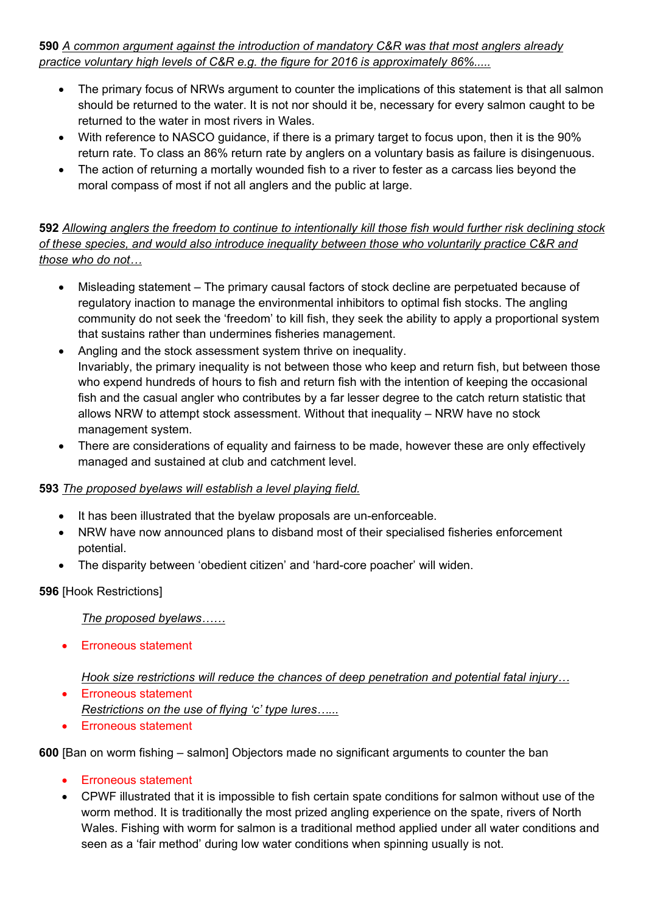**590** *A common argument against the introduction of mandatory C&R was that most anglers already practice voluntary high levels of C&R e.g. the figure for 2016 is approximately 86%.....*

- The primary focus of NRWs argument to counter the implications of this statement is that all salmon should be returned to the water. It is not nor should it be, necessary for every salmon caught to be returned to the water in most rivers in Wales.
- With reference to NASCO guidance, if there is a primary target to focus upon, then it is the 90% return rate. To class an 86% return rate by anglers on a voluntary basis as failure is disingenuous.
- The action of returning a mortally wounded fish to a river to fester as a carcass lies beyond the moral compass of most if not all anglers and the public at large.

592 Allowing anglers the freedom to continue to intentionally kill those fish would further risk declining stock *of these species, and would also introduce inequality between those who voluntarily practice C&R and those who do not…*

- Misleading statement The primary causal factors of stock decline are perpetuated because of regulatory inaction to manage the environmental inhibitors to optimal fish stocks. The angling community do not seek the 'freedom' to kill fish, they seek the ability to apply a proportional system that sustains rather than undermines fisheries management.
- Angling and the stock assessment system thrive on inequality. Invariably, the primary inequality is not between those who keep and return fish, but between those who expend hundreds of hours to fish and return fish with the intention of keeping the occasional fish and the casual angler who contributes by a far lesser degree to the catch return statistic that allows NRW to attempt stock assessment. Without that inequality – NRW have no stock management system.
- There are considerations of equality and fairness to be made, however these are only effectively managed and sustained at club and catchment level.

### **593** *The proposed byelaws will establish a level playing field.*

- It has been illustrated that the byelaw proposals are un-enforceable.
- NRW have now announced plans to disband most of their specialised fisheries enforcement potential.
- The disparity between 'obedient citizen' and 'hard-core poacher' will widen.

**596** [Hook Restrictions]

*The proposed byelaws……*

Erroneous statement

### *Hook size restrictions will reduce the chances of deep penetration and potential fatal injury…*

- Erroneous statement *Restrictions on the use of flying 'c' type lures…...*
- **Erroneous statement**

**600** [Ban on worm fishing – salmon] Objectors made no significant arguments to counter the ban

- Erroneous statement
- CPWF illustrated that it is impossible to fish certain spate conditions for salmon without use of the worm method. It is traditionally the most prized angling experience on the spate, rivers of North Wales. Fishing with worm for salmon is a traditional method applied under all water conditions and seen as a 'fair method' during low water conditions when spinning usually is not.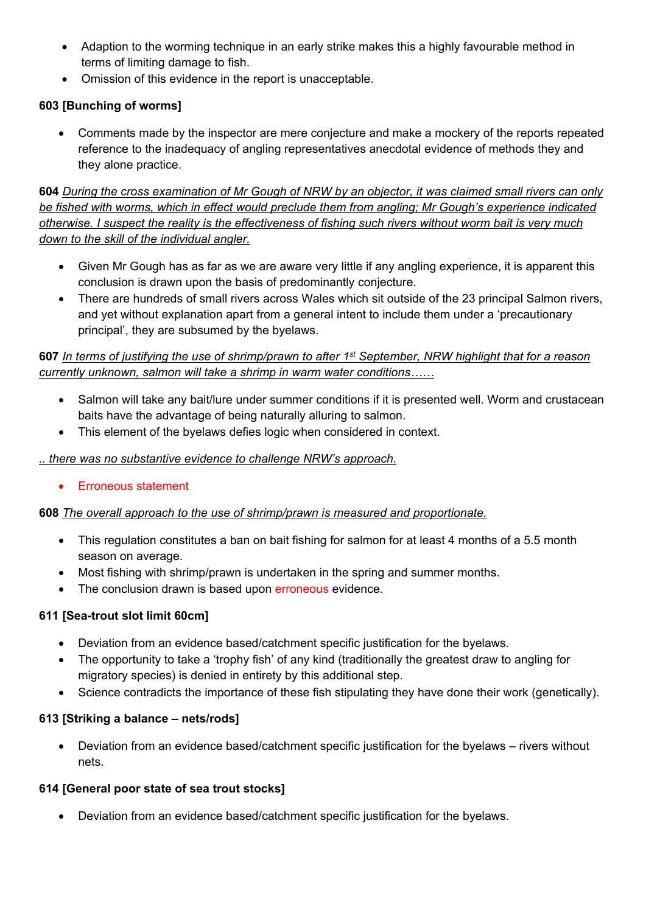- Adaption to the worming technique in an early strike makes this a highly favourable method in terms of limiting damage to fish.
- Omission of this evidence in the report is unacceptable.

# **603 [Bunching of worms]**

 Comments made by the inspector are mere conjecture and make a mockery of the reports repeated reference to the inadequacy of angling representatives anecdotal evidence of methods they and they alone practice.

604 During the cross examination of Mr Gough of NRW by an objector, it was claimed small rivers can only *be fished with worms, which in effect would preclude them from angling; Mr Gough's experience indicated* otherwise. I suspect the reality is the effectiveness of fishing such rivers without worm bait is very much *down to the skill of the individual angler.*

- Given Mr Gough has as far as we are aware very little if any angling experience, it is apparent this conclusion is drawn upon the basis of predominantly conjecture.
- There are hundreds of small rivers across Wales which sit outside of the 23 principal Salmon rivers, and yet without explanation apart from a general intent to include them under a 'precautionary principal', they are subsumed by the byelaws.

### 607 In terms of justifying the use of shrimp/prawn to after 1st September, NRW highlight that for a reason *currently unknown, salmon will take a shrimp in warm water conditions……*

- Salmon will take any bait/lure under summer conditions if it is presented well. Worm and crustacean baits have the advantage of being naturally alluring to salmon.
- This element of the byelaws defies logic when considered in context.

### *.. there was no substantive evidence to challenge NRW's approach.*

• Erroneous statement

# **608** *The overall approach to the use of shrimp/prawn is measured and proportionate.*

- This regulation constitutes a ban on bait fishing for salmon for at least 4 months of a 5.5 month season on average.
- Most fishing with shrimp/prawn is undertaken in the spring and summer months.
- The conclusion drawn is based upon erroneous evidence.

# **611 [Sea-trout slot limit 60cm]**

- Deviation from an evidence based/catchment specific justification for the byelaws.
- The opportunity to take a 'trophy fish' of any kind (traditionally the greatest draw to angling for migratory species) is denied in entirety by this additional step.
- Science contradicts the importance of these fish stipulating they have done their work (genetically).

# **613 [Striking a balance – nets/rods]**

 Deviation from an evidence based/catchment specific justification for the byelaws – rivers without nets.

# **614 [General poor state of sea trout stocks]**

Deviation from an evidence based/catchment specific justification for the byelaws.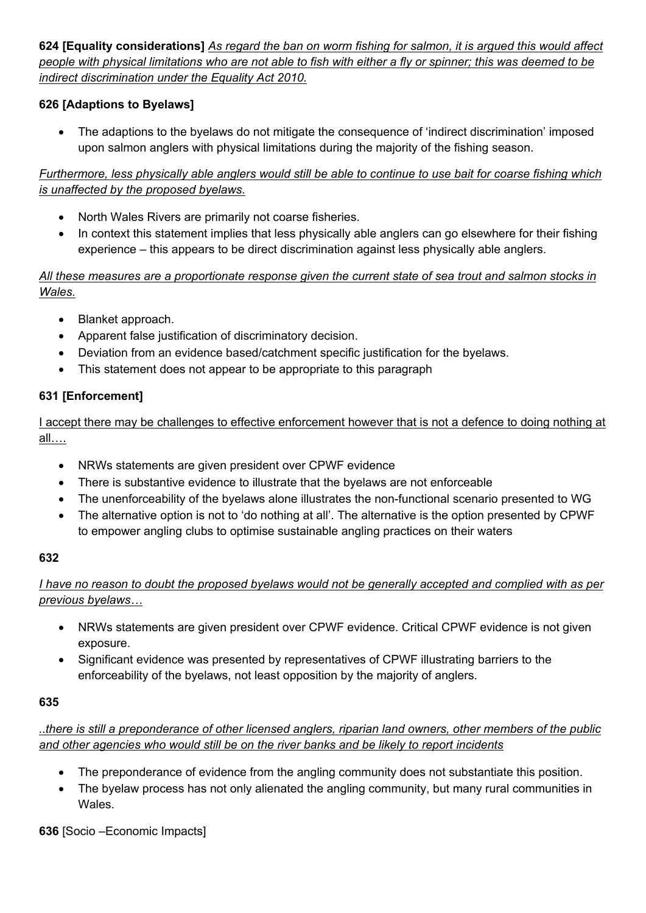624 [Equality considerations] As regard the ban on worm fishing for salmon, it is argued this would affect people with physical limitations who are not able to fish with either a fly or spinner; this was deemed to be *indirect discrimination under the Equality Act 2010.*

# **626 [Adaptions to Byelaws]**

 The adaptions to the byelaws do not mitigate the consequence of 'indirect discrimination' imposed upon salmon anglers with physical limitations during the majority of the fishing season.

Furthermore, less physically able anglers would still be able to continue to use bait for coarse fishing which *is unaffected by the proposed byelaws.*

- North Wales Rivers are primarily not coarse fisheries.
- In context this statement implies that less physically able anglers can go elsewhere for their fishing experience – this appears to be direct discrimination against less physically able anglers.

### All these measures are a proportionate response given the current state of sea trout and salmon stocks in *Wales.*

- Blanket approach.
- Apparent false justification of discriminatory decision.
- Deviation from an evidence based/catchment specific justification for the byelaws.
- This statement does not appear to be appropriate to this paragraph

# **631 [Enforcement]**

I accept there may be challenges to effective enforcement however that is not a defence to doing nothing at all….

- NRWs statements are given president over CPWF evidence
- There is substantive evidence to illustrate that the byelaws are not enforceable
- The unenforceability of the byelaws alone illustrates the non-functional scenario presented to WG
- The alternative option is not to 'do nothing at all'. The alternative is the option presented by CPWF to empower angling clubs to optimise sustainable angling practices on their waters

### **632**

I have no reason to doubt the proposed byelaws would not be generally accepted and complied with as per *previous byelaws…*

- NRWs statements are given president over CPWF evidence. Critical CPWF evidence is not given exposure.
- Significant evidence was presented by representatives of CPWF illustrating barriers to the enforceability of the byelaws, not least opposition by the majority of anglers.

### **635**

# ..there is still a preponderance of other licensed anglers, riparian land owners, other members of the public *and other agencies who would still be on the river banks and be likely to report incidents*

- The preponderance of evidence from the angling community does not substantiate this position.
- The byelaw process has not only alienated the angling community, but many rural communities in Wales.

**636** [Socio –Economic Impacts]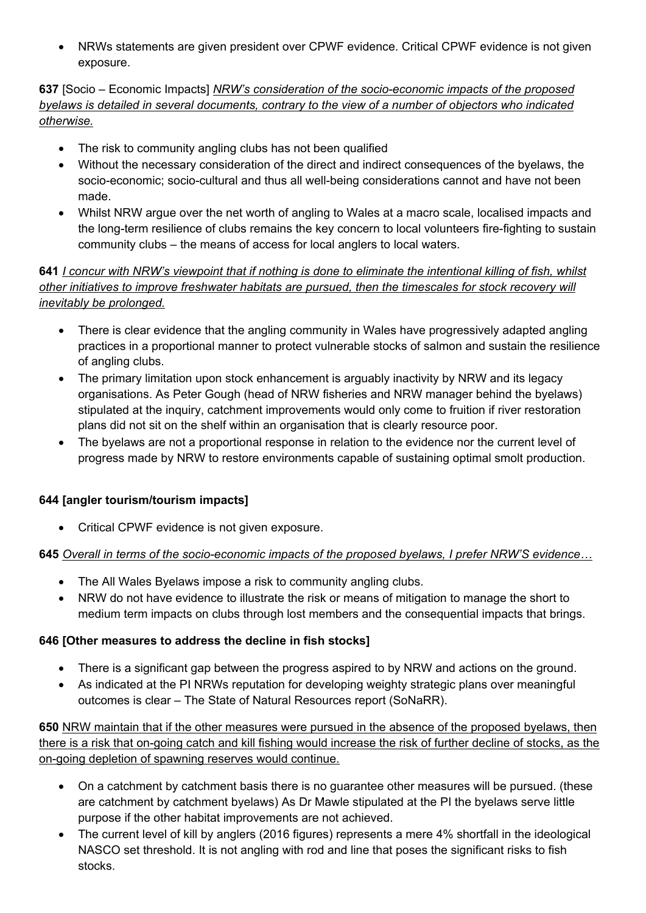NRWs statements are given president over CPWF evidence. Critical CPWF evidence is not given exposure.

### **637** [Socio – Economic Impacts] *NRW's consideration of the socio-economic impacts of the proposed byelaws is detailed in several documents, contrary to the view of a number of objectors who indicated otherwise.*

- The risk to community angling clubs has not been qualified
- Without the necessary consideration of the direct and indirect consequences of the byelaws, the socio-economic; socio-cultural and thus all well-being considerations cannot and have not been made.
- Whilst NRW argue over the net worth of angling to Wales at a macro scale, localised impacts and the long-term resilience of clubs remains the key concern to local volunteers fire-fighting to sustain community clubs – the means of access for local anglers to local waters.

### 641 I concur with NRW's viewpoint that if nothing is done to eliminate the intentional killing of fish, whilst *other initiatives to improve freshwater habitats are pursued, then the timescales for stock recovery will inevitably be prolonged.*

- There is clear evidence that the angling community in Wales have progressively adapted angling practices in a proportional manner to protect vulnerable stocks of salmon and sustain the resilience of angling clubs.
- The primary limitation upon stock enhancement is arguably inactivity by NRW and its legacy organisations. As Peter Gough (head of NRW fisheries and NRW manager behind the byelaws) stipulated at the inquiry, catchment improvements would only come to fruition if river restoration plans did not sit on the shelf within an organisation that is clearly resource poor.
- The byelaws are not a proportional response in relation to the evidence nor the current level of progress made by NRW to restore environments capable of sustaining optimal smolt production.

# **644 [angler tourism/tourism impacts]**

Critical CPWF evidence is not given exposure.

# **645** *Overall in terms of the socio-economic impacts of the proposed byelaws, I prefer NRW'S evidence…*

- The All Wales Byelaws impose a risk to community angling clubs.
- NRW do not have evidence to illustrate the risk or means of mitigation to manage the short to medium term impacts on clubs through lost members and the consequential impacts that brings.

# **646 [Other measures to address the decline in fish stocks]**

- There is a significant gap between the progress aspired to by NRW and actions on the ground.
- As indicated at the PI NRWs reputation for developing weighty strategic plans over meaningful outcomes is clear – The State of Natural Resources report (SoNaRR).

**650** NRW maintain that if the other measures were pursued in the absence of the proposed byelaws, then there is a risk that on-going catch and kill fishing would increase the risk of further decline of stocks, as the on-going depletion of spawning reserves would continue.

- On a catchment by catchment basis there is no guarantee other measures will be pursued. (these are catchment by catchment byelaws) As Dr Mawle stipulated at the PI the byelaws serve little purpose if the other habitat improvements are not achieved.
- The current level of kill by anglers (2016 figures) represents a mere 4% shortfall in the ideological NASCO set threshold. It is not angling with rod and line that poses the significant risks to fish stocks.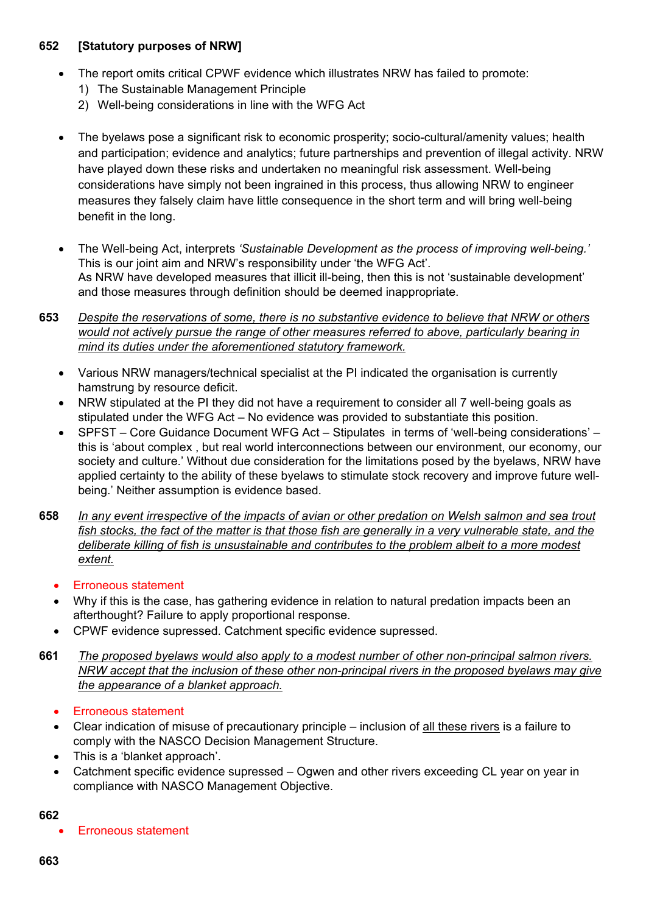#### **652 [Statutory purposes of NRW]**

- The report omits critical CPWF evidence which illustrates NRW has failed to promote:
	- 1) The Sustainable Management Principle
	- 2) Well-being considerations in line with the WFG Act
- The byelaws pose a significant risk to economic prosperity; socio-cultural/amenity values; health and participation; evidence and analytics; future partnerships and prevention of illegal activity. NRW have played down these risks and undertaken no meaningful risk assessment. Well-being considerations have simply not been ingrained in this process, thus allowing NRW to engineer measures they falsely claim have little consequence in the short term and will bring well-being benefit in the long.
- The Well-being Act, interprets *'Sustainable Development as the process of improving well-being.'* This is our joint aim and NRW's responsibility under 'the WFG Act'. As NRW have developed measures that illicit ill-being, then this is not 'sustainable development' and those measures through definition should be deemed inappropriate.
- **653** *Despite the reservations of some, there is no substantive evidence to believe that NRW or others would not actively pursue the range of other measures referred to above, particularly bearing in mind its duties under the aforementioned statutory framework.*
	- Various NRW managers/technical specialist at the PI indicated the organisation is currently hamstrung by resource deficit.
	- NRW stipulated at the PI they did not have a requirement to consider all 7 well-being goals as stipulated under the WFG Act – No evidence was provided to substantiate this position.
	- SPFST Core Guidance Document WFG Act Stipulates in terms of 'well-being considerations' this is 'about complex , but real world interconnections between our environment, our economy, our society and culture.' Without due consideration for the limitations posed by the byelaws, NRW have applied certainty to the ability of these byelaws to stimulate stock recovery and improve future wellbeing.' Neither assumption is evidence based.
- 658 In any event irrespective of the impacts of avian or other predation on Welsh salmon and sea trout fish stocks, the fact of the matter is that those fish are generally in a very vulnerable state, and the *deliberate killing of fish is unsustainable and contributes to the problem albeit to a more modest extent.*
	- Erroneous statement
	- Why if this is the case, has gathering evidence in relation to natural predation impacts been an afterthought? Failure to apply proportional response.
	- CPWF evidence supressed. Catchment specific evidence supressed.
- **661** *The proposed byelaws would also apply to a modest number of other non-principal salmon rivers. NRW accept that the inclusion of these other non-principal rivers in the proposed byelaws may give the appearance of a blanket approach.*
	- Erroneous statement
	- Clear indication of misuse of precautionary principle inclusion of all these rivers is a failure to comply with the NASCO Decision Management Structure.
	- This is a 'blanket approach'.
	- Catchment specific evidence supressed Ogwen and other rivers exceeding CL year on year in compliance with NASCO Management Objective.

#### **662**

Erroneous statement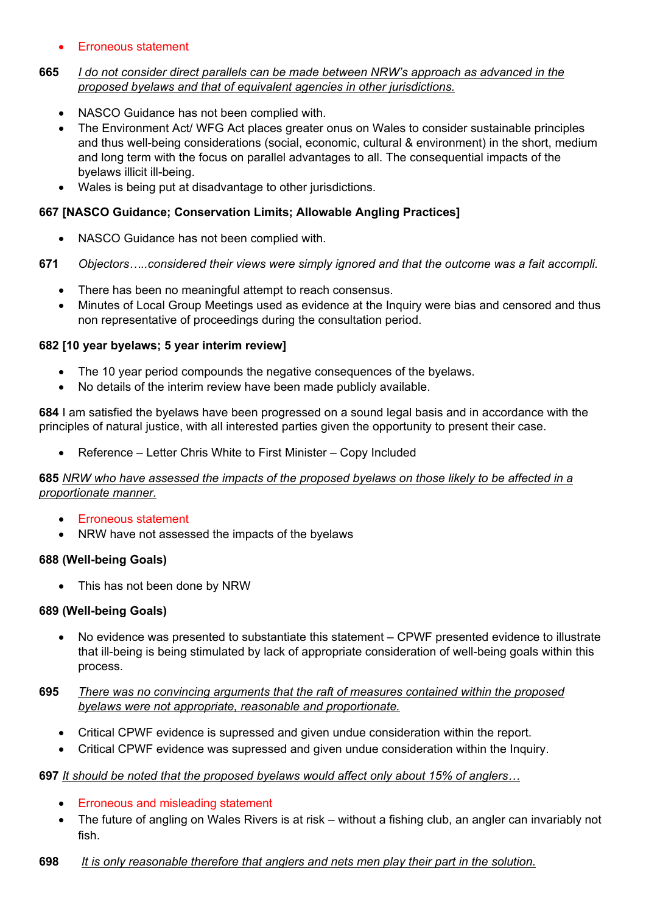### • Erroneous statement

#### **665** *I do not consider direct parallels can be made between NRW's approach as advanced in the proposed byelaws and that of equivalent agencies in other jurisdictions.*

- NASCO Guidance has not been complied with.
- The Environment Act/ WFG Act places greater onus on Wales to consider sustainable principles and thus well-being considerations (social, economic, cultural & environment) in the short, medium and long term with the focus on parallel advantages to all. The consequential impacts of the byelaws illicit ill-being.
- Wales is being put at disadvantage to other jurisdictions.

### **667 [NASCO Guidance; Conservation Limits; Allowable Angling Practices]**

NASCO Guidance has not been complied with.

#### **671** *Objectors…..considered their views were simply ignored and that the outcome was a fait accompli.*

- There has been no meaningful attempt to reach consensus.
- Minutes of Local Group Meetings used as evidence at the Inquiry were bias and censored and thus non representative of proceedings during the consultation period.

#### **682 [10 year byelaws; 5 year interim review]**

- The 10 year period compounds the negative consequences of the byelaws.
- No details of the interim review have been made publicly available.

**684** I am satisfied the byelaws have been progressed on a sound legal basis and in accordance with the principles of natural justice, with all interested parties given the opportunity to present their case.

Reference – Letter Chris White to First Minister – Copy Included

#### 685 NRW who have assessed the impacts of the proposed byelaws on those likely to be affected in a *proportionate manner.*

- **Erroneous statement**
- NRW have not assessed the impacts of the byelaws

### **688 (Well-being Goals)**

• This has not been done by NRW

#### **689 (Well-being Goals)**

- No evidence was presented to substantiate this statement CPWF presented evidence to illustrate that ill-being is being stimulated by lack of appropriate consideration of well-being goals within this process.
- **695** *There was no convincing arguments that the raft of measures contained within the proposed byelaws were not appropriate, reasonable and proportionate.*
	- Critical CPWF evidence is supressed and given undue consideration within the report.
	- Critical CPWF evidence was supressed and given undue consideration within the Inquiry.

#### **697** *It should be noted that the proposed byelaws would affect only about 15% of anglers…*

- Erroneous and misleading statement
- The future of angling on Wales Rivers is at risk without a fishing club, an angler can invariably not fish.
- **698** *It is only reasonable therefore that anglers and nets men play their part in the solution.*